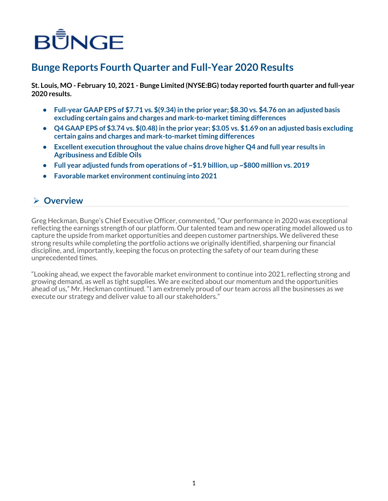# BUNGE

# **Bunge Reports Fourth Quarter and Full-Year 2020 Results**

**St. Louis, MO - February 10, 2021 - Bunge Limited (NYSE:BG) today reported fourth quarter and full-year 2020 results.**

- **• Full-year GAAP EPS of \$7.71 vs. \$(9.34) in the prior year; \$8.30 vs. \$4.76 on an adjusted basis excluding certain gains and charges and mark-to-market timing differences**
- **• Q4 GAAP EPS of \$3.74 vs. \$(0.48) in the prior year; \$3.05 vs. \$1.69 on an adjusted basis excluding certain gains and charges and mark-to-market timing differences**
- **• Excellent execution throughout the value chains drove higher Q4 and full year results in Agribusiness and Edible Oils**
- **• Full year adjusted funds from operations of ~\$1.9 billion, up ~\$800 million vs. 2019**
- **• Favorable market environment continuing into 2021**

### Ø **Overview**

Greg Heckman, Bunge's Chief Executive Officer, commented, "Our performance in 2020 was exceptional reflecting the earnings strength of our platform. Our talented team and new operating model allowed us to capture the upside from market opportunities and deepen customer partnerships. We delivered these strong results while completing the portfolio actions we originally identified, sharpening our financial discipline, and, importantly, keeping the focus on protecting the safety of our team during these unprecedented times.

"Looking ahead, we expect the favorable market environment to continue into 2021, reflecting strong and growing demand, as well as tight supplies. We are excited about our momentum and the opportunities ahead of us," Mr. Heckman continued. "I am extremely proud of our team across all the businesses as we execute our strategy and deliver value to all our stakeholders."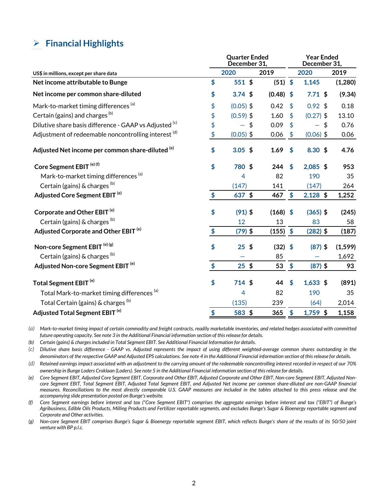### <span id="page-1-0"></span>Ø **Financial Highlights**

|                                                        |                            | <b>Quarter Ended</b><br>December 31, | <b>Year Ended</b><br>December 31, |                           |             |          |  |  |  |
|--------------------------------------------------------|----------------------------|--------------------------------------|-----------------------------------|---------------------------|-------------|----------|--|--|--|
| US\$ in millions, except per share data                |                            | 2020                                 | 2019                              |                           | 2020        | 2019     |  |  |  |
| Net income attributable to Bunge                       | \$                         | 551 \$                               | $(51)$ \$                         |                           | 1,145       | (1,280)  |  |  |  |
| Net income per common share-diluted                    | \$                         | $3.74$ \$                            | $(0.48)$ \$                       |                           | 7.71~\$     | (9.34)   |  |  |  |
| Mark-to-market timing differences <sup>(a)</sup>       | \$                         | $(0.05)$ \$                          | 0.42                              | $\mathbf{\hat{S}}$        | $0.92$ \$   | 0.18     |  |  |  |
| Certain (gains) and charges <sup>(b)</sup>             | \$                         | $(0.59)$ \$                          | 1.60                              | \$                        | $(0.27)$ \$ | 13.10    |  |  |  |
| Dilutive share basis difference - GAAP vs Adjusted (c) | \$                         | $\sqrt{2}$                           | 0.09                              | $\boldsymbol{\mathsf{S}}$ | \$          | 0.76     |  |  |  |
| Adjustment of redeemable noncontrolling interest (d)   | \$                         | $(0.05)$ \$                          | 0.06                              | $\frac{4}{5}$             | $(0.06)$ \$ | 0.06     |  |  |  |
| Adjusted Net income per common share-diluted (e)       | \$                         | $3.05$ \$                            | 1.69                              | $\boldsymbol{\mathsf{s}}$ | 8.30~\$     | 4.76     |  |  |  |
| Core Segment EBIT <sup>(e)(f)</sup>                    | \$                         | 780 \$                               | 244                               | <sup>\$</sup>             | $2,085$ \$  | 953      |  |  |  |
| Mark-to-market timing differences <sup>(a)</sup>       |                            | 4                                    | 82                                |                           | 190         | 35       |  |  |  |
| Certain (gains) & charges (b)                          |                            | (147)                                | 141                               |                           | (147)       | 264      |  |  |  |
| Adjusted Core Segment EBIT <sup>(e)</sup>              | $\frac{1}{2}$              | $637$ \$                             | 467                               | $\frac{1}{2}$             | $2,128$ \$  | 1,252    |  |  |  |
| Corporate and Other EBIT <sup>(e)</sup>                | \$                         | $(91)$ \$                            | $(168)$ \$                        |                           | $(365)$ \$  | (245)    |  |  |  |
| Certain (gains) & charges (b)                          |                            | 12                                   | 13                                |                           | 83          | 58       |  |  |  |
| Adjusted Corporate and Other EBIT <sup>(e)</sup>       | \$                         | $(79)$ \$                            | $(155)$ \$                        |                           | $(282)$ \$  | (187)    |  |  |  |
| Non-core Segment EBIT <sup>(e)(g)</sup>                | \$                         | $25$ \$                              | $(32)$ \$                         |                           | $(87)$ \$   | (1, 599) |  |  |  |
| Certain (gains) & charges (b)                          |                            |                                      | 85                                |                           |             | 1,692    |  |  |  |
| Adjusted Non-core Segment EBIT <sup>(e)</sup>          | $\boldsymbol{\mathsf{\$}}$ | $25$ \$                              | 53                                | $\frac{1}{2}$             | $(87)$ \$   | 93       |  |  |  |
| Total Segment EBIT <sup>(e)</sup>                      | \$                         | 714 \$                               | 44                                | $\boldsymbol{\mathsf{s}}$ | $1,633$ \$  | (891)    |  |  |  |
| Total Mark-to-market timing differences <sup>(a)</sup> |                            | $\overline{4}$                       | 82                                |                           | 190         | 35       |  |  |  |
| Total Certain (gains) & charges (b)                    |                            | (135)                                | 239                               |                           | (64)        | 2,014    |  |  |  |
| Adjusted Total Segment EBIT <sup>(e)</sup>             | \$                         | 583 \$                               | 365                               | $\boldsymbol{\mathsf{s}}$ | $1,759$ \$  | 1,158    |  |  |  |

*(a) Mark-to-market timing impact of certain commodity and freight contracts, readily marketable inventories, and related hedges associated with committed future operating capacity. See note 3 in the Additional Financial information section of this release for details.* 

*(b) Certain (gains) & charges included in Total Segment EBIT. See Additional Financial Information for details.* 

*(c) Dilutive share basis difference - GAAP vs. Adjusted represents the impact of using different weighted-average common shares outstanding in the denominators of the respective GAAP and Adjusted EPS calculations. See note 4 in the Additional Financial information section of this release for details.*

*(d) Retained earnings impact associated with an adjustment to the carrying amount of the redeemable noncontrolling interest recorded in respect of our 70% ownership in Bunge Loders Croklaan (Loders). See note 5 in the Additional Financial information section of this release for details.*

*(e) Core Segment EBIT, Adjusted Core Segment EBIT, Corporate and Other EBIT, Adjusted Corporate and Other EBIT, Non-core Segment EBIT, Adjusted Noncore Segment EBIT, Total Segment EBIT, Adjusted Total Segment EBIT, and Adjusted Net income per common share-diluted are non-GAAP financial measures. Reconciliations to the most directly comparable U.S. GAAP measures are included in the tables attached to this press release and the accompanying slide presentation posted on Bunge's website.* 

*(f) Core Segment earnings before interest and tax ("Core Segment EBIT") comprises the aggregate earnings before interest and tax ("EBIT") of Bunge's Agribusiness, Edible Oils Products, Milling Products and Fertilizer reportable segments, and excludes Bunge's Sugar & Bioenergy reportable segment and Corporate and Other activities.*

*(g) Non-core Segment EBIT comprises Bunge's Sugar & Bioenergy reportable segment EBIT, which reflects Bunge's share of the results of its 50/50 joint venture with BP p.l.c.*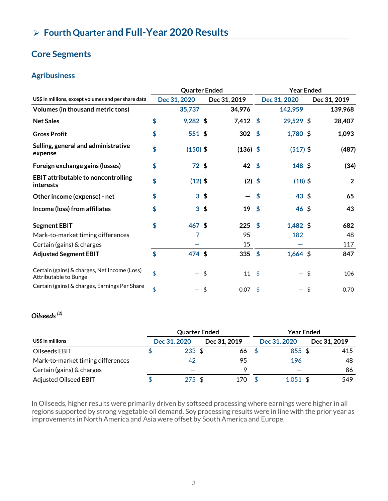# **Core Segments**

### **Agribusiness**

|                                                                       | <b>Quarter Ended</b> |                 |             |              |            | <b>Year Ended</b> |    |                |  |
|-----------------------------------------------------------------------|----------------------|-----------------|-------------|--------------|------------|-------------------|----|----------------|--|
| US\$ in millions, except volumes and per share data                   |                      | Dec 31, 2020    |             | Dec 31, 2019 |            | Dec 31, 2020      |    | Dec 31, 2019   |  |
| Volumes (in thousand metric tons)                                     |                      | 35,737          |             | 34,976       |            | 142,959           |    | 139,968        |  |
| <b>Net Sales</b>                                                      | \$                   | $9,282$ \$      |             | $7,412$ \$   |            | 29,529 \$         |    | 28,407         |  |
| <b>Gross Profit</b>                                                   | \$                   | 551 \$          |             | 302          | $\sqrt{5}$ | $1,780$ \$        |    | 1,093          |  |
| Selling, general and administrative<br>expense                        | \$                   | $(150)$ \$      |             | $(136)$ \$   |            | $(517)$ \$        |    | (487)          |  |
| Foreign exchange gains (losses)                                       | \$                   | 72 <sub>5</sub> |             | $42 \;$ \$   |            | 148 \$            |    | (34)           |  |
| <b>EBIT attributable to noncontrolling</b><br>interests               | \$                   | $(12)$ \$       |             | $(2)$ \$     |            | $(18)$ \$         |    | $\overline{2}$ |  |
| Other income (expense) - net                                          | \$                   | 3 <sup>5</sup>  |             |              | \$         | $43 \;$ \$        |    | 65             |  |
| Income (loss) from affiliates                                         | \$                   |                 | $3\sqrt{5}$ | 19           | $\sqrt{5}$ | $46 \;$ \$        |    | 43             |  |
| <b>Segment EBIT</b>                                                   | \$                   | 467 \$          |             | $225$ \$     |            | $1,482$ \$        |    | 682            |  |
| Mark-to-market timing differences                                     |                      | 7               |             | 95           |            | 182               |    | 48             |  |
| Certain (gains) & charges                                             |                      |                 |             | 15           |            |                   |    | 117            |  |
| <b>Adjusted Segment EBIT</b>                                          | \$                   | 474 \$          |             | 335 $$$      |            | $1,664$ \$        |    | 847            |  |
| Certain (gains) & charges, Net Income (Loss)<br>Attributable to Bunge | \$                   |                 | \$          | $11 \quad $$ |            |                   | \$ | 106            |  |
| Certain (gains) & charges, Earnings Per Share                         | \$                   |                 | \$          | 0.07         | \$         |                   | \$ | 0.70           |  |

### *Oilseeds (2)*

|                                   | <b>Quarter Ended</b> |              | Year Ended |              |  |              |
|-----------------------------------|----------------------|--------------|------------|--------------|--|--------------|
| US\$ in millions                  | Dec 31, 2020         | Dec 31, 2019 |            | Dec 31, 2020 |  | Dec 31, 2019 |
| Oilseeds EBIT                     | $233 \text{ } $5$    | 66           |            | $855$ \$     |  | 415          |
| Mark-to-market timing differences | 42                   | 95           |            | 196          |  | 48           |
| Certain (gains) & charges         |                      | Ο            |            |              |  | 86           |
| <b>Adjusted Oilseed EBIT</b>      | 275S                 | 170          |            | $1,051$ \$   |  | 549          |

In Oilseeds, higher results were primarily driven by softseed processing where earnings were higher in all regions supported by strong vegetable oil demand. Soy processing results were in line with the prior year as improvements in North America and Asia were offset by South America and Europe.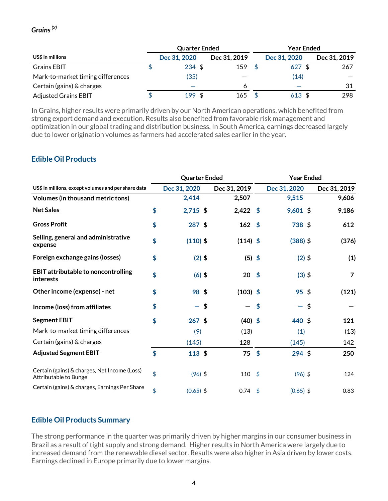#### *Grains (2)*  $\overline{a}$

|                                   | <b>Quarter Ended</b> |              | <b>Year Ended</b> |              |              |  |
|-----------------------------------|----------------------|--------------|-------------------|--------------|--------------|--|
| US\$ in millions                  | Dec 31, 2020         | Dec 31, 2019 |                   | Dec 31, 2020 | Dec 31, 2019 |  |
| <b>Grains EBIT</b>                | $234 \text{ } $5$    | 159          |                   | $627$ \$     | 267          |  |
| Mark-to-market timing differences | (35)                 |              |                   | (14)         |              |  |
| Certain (gains) & charges         |                      |              |                   |              | 31           |  |
| <b>Adjusted Grains EBIT</b>       | 199S                 | 165          |                   | $613 \;$ \$  | 298          |  |

In Grains, higher results were primarily driven by our North American operations, which benefited from strong export demand and execution. Results also benefited from favorable risk management and optimization in our global trading and distribution business. In South America, earnings decreased largely due to lower origination volumes as farmers had accelerated sales earlier in the year.

### **Edible Oil Products**

|                                                                       |    | <b>Quarter Ended</b> |                  | <b>Year Ended</b> |                                |  |                |
|-----------------------------------------------------------------------|----|----------------------|------------------|-------------------|--------------------------------|--|----------------|
| US\$ in millions, except volumes and per share data                   |    | Dec 31, 2020         | Dec 31, 2019     |                   | Dec 31, 2020                   |  | Dec 31, 2019   |
| Volumes (in thousand metric tons)                                     |    | 2,414                | 2,507            |                   | 9,515                          |  | 9,606          |
| <b>Net Sales</b>                                                      | \$ | $2,715$ \$           | $2,422$ \$       |                   | $9,601$ \$                     |  | 9,186          |
| <b>Gross Profit</b>                                                   | \$ | 287 \$               | 162 <sup>5</sup> |                   | 738 \$                         |  | 612            |
| Selling, general and administrative<br>expense                        | \$ | $(110)$ \$           | $(114)$ \$       |                   | $(388)$ \$                     |  | (376)          |
| Foreign exchange gains (losses)                                       | \$ | $(2)$ \$             | $(5)$ \$         |                   | $(2)$ \$                       |  | (1)            |
| <b>EBIT attributable to noncontrolling</b><br>interests               | \$ | $(6)$ \$             | 20               | $\sqrt{5}$        | $(3)$ \$                       |  | $\overline{7}$ |
| Other income (expense) - net                                          | \$ | 98 \$                | $(103)$ \$       |                   | $95$ \$                        |  | (121)          |
| Income (loss) from affiliates                                         | \$ |                      | \$               | \$                | \$<br>$\overline{\phantom{0}}$ |  |                |
| <b>Segment EBIT</b>                                                   | \$ | $267$ \$             | $(40)$ \$        |                   | 440 \$                         |  | 121            |
| Mark-to-market timing differences                                     |    | (9)                  | (13)             |                   | (1)                            |  | (13)           |
| Certain (gains) & charges                                             |    | (145)                | 128              |                   | (145)                          |  | 142            |
| <b>Adjusted Segment EBIT</b>                                          | \$ | $113$ \$             | $75$ \$          |                   | $294$ \$                       |  | 250            |
| Certain (gains) & charges, Net Income (Loss)<br>Attributable to Bunge | \$ | $(96)$ \$            | 110              | \$                | $(96)$ \$                      |  | 124            |
| Certain (gains) & charges, Earnings Per Share                         | \$ | $(0.65)$ \$          | $0.74$ \$        |                   | $(0.65)$ \$                    |  | 0.83           |

#### **Edible Oil Products Summary**

The strong performance in the quarter was primarily driven by higher margins in our consumer business in Brazil as a result of tight supply and strong demand. Higher results in North America were largely due to increased demand from the renewable diesel sector. Results were also higher in Asia driven by lower costs. Earnings declined in Europe primarily due to lower margins.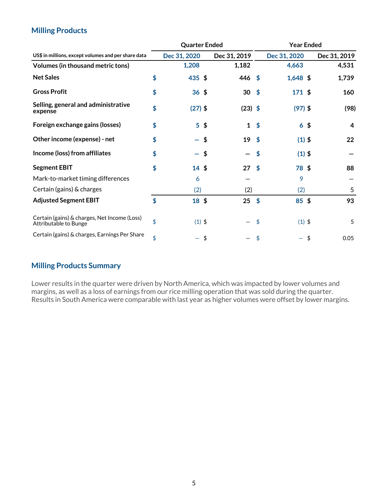#### **Milling Products** í

|                                                                       |                            | <b>Quarter Ended</b> |                |                   | <b>Year Ended</b>  |                |              |  |
|-----------------------------------------------------------------------|----------------------------|----------------------|----------------|-------------------|--------------------|----------------|--------------|--|
| US\$ in millions, except volumes and per share data                   |                            | Dec 31, 2020         |                | Dec 31, 2019      |                    | Dec 31, 2020   | Dec 31, 2019 |  |
| Volumes (in thousand metric tons)                                     |                            | 1,208                |                | 1,182             |                    | 4,663          | 4,531        |  |
| <b>Net Sales</b>                                                      | \$                         | 435 \$               |                | $446 \text{ }$ \$ |                    | $1,648$ \$     | 1,739        |  |
| <b>Gross Profit</b>                                                   | \$                         | $36 \;$ \$           |                | 30                | $\sqrt{5}$         | 171 \$         | 160          |  |
| Selling, general and administrative<br>expense                        | \$                         | $(27)$ \$            |                | $(23)$ \$         |                    | $(97)$ \$      | (98)         |  |
| Foreign exchange gains (losses)                                       | \$                         |                      | 5 <sup>5</sup> | $\mathbf{1}$      | \$                 | $6\frac{4}{3}$ | 4            |  |
| Other income (expense) - net                                          | \$                         |                      | \$             | 19                | $\mathbf{\hat{S}}$ | $(1)$ \$       | 22           |  |
| Income (loss) from affiliates                                         | \$                         |                      | \$             |                   | \$                 | $(1)$ \$       |              |  |
| <b>Segment EBIT</b>                                                   | \$                         | $14 \;$ \$           |                | 27                | - \$               | 78 \$          | 88           |  |
| Mark-to-market timing differences                                     |                            | 6                    |                |                   |                    | 9              |              |  |
| Certain (gains) & charges                                             |                            | (2)                  |                | (2)               |                    | (2)            | 5            |  |
| <b>Adjusted Segment EBIT</b>                                          | $\boldsymbol{\mathsf{\$}}$ | $18 \;$ \$           |                | 25                | \$                 | $85 \;$ \$     | 93           |  |
| Certain (gains) & charges, Net Income (Loss)<br>Attributable to Bunge | \$                         | $(1)$ \$             |                |                   | \$                 | $(1)$ \$       | 5            |  |
| Certain (gains) & charges, Earnings Per Share                         | \$                         |                      | \$             |                   | \$                 | $\sqrt{2}$     | 0.05         |  |

### **Milling Products Summary**

Lower results in the quarter were driven by North America, which was impacted by lower volumes and margins, as well as a loss of earnings from our rice milling operation that was sold during the quarter. Results in South America were comparable with last year as higher volumes were offset by lower margins.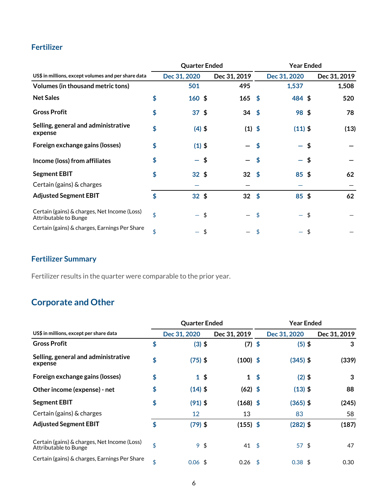### **Fertilizer**

|                                                                       |    | <b>Quarter Ended</b> |      | <b>Year Ended</b> |               |                          |    |              |
|-----------------------------------------------------------------------|----|----------------------|------|-------------------|---------------|--------------------------|----|--------------|
| US\$ in millions, except volumes and per share data                   |    | Dec 31, 2020         |      | Dec 31, 2019      |               | Dec 31, 2020             |    | Dec 31, 2019 |
| Volumes (in thousand metric tons)                                     |    | 501                  |      | 495               |               | 1,537                    |    | 1,508        |
| <b>Net Sales</b>                                                      | \$ | $160*$               |      | $165$ \$          |               | 484 \$                   |    | 520          |
| <b>Gross Profit</b>                                                   | \$ | 37 <sup>5</sup>      |      | $34 \; \text{S}$  |               | 98 \$                    |    | 78           |
| Selling, general and administrative<br>expense                        | \$ | $(4)$ \$             |      | $(1)$ \$          |               | $(11)$ \$                |    | (13)         |
| Foreign exchange gains (losses)                                       | \$ | $(1)$ \$             |      |                   | \$            |                          | \$ |              |
| Income (loss) from affiliates                                         | \$ | - \$                 |      |                   | \$            | $\overline{\phantom{0}}$ | \$ |              |
| <b>Segment EBIT</b>                                                   | \$ | $32 \;$ \$           |      | 32                | $\frac{1}{2}$ | $85 \;$ \$               |    | 62           |
| Certain (gains) & charges                                             |    |                      |      |                   |               |                          |    |              |
| <b>Adjusted Segment EBIT</b>                                          | \$ | $32 \;$ \$           |      | $32 \quad $$      |               | $85 \text{ }$ \$         |    | 62           |
| Certain (gains) & charges, Net Income (Loss)<br>Attributable to Bunge | \$ |                      | - \$ |                   | \$            | -                        | \$ |              |
| Certain (gains) & charges, Earnings Per Share                         | \$ |                      | \$   |                   | \$            |                          | \$ |              |

# **Fertilizer Summary**

Fertilizer results in the quarter were comparable to the prior year.

# **Corporate and Other**

|                                                                       |    | <b>Quarter Ended</b> |              | <b>Year Ended</b> |                   |              |  |
|-----------------------------------------------------------------------|----|----------------------|--------------|-------------------|-------------------|--------------|--|
| US\$ in millions, except per share data                               |    | Dec 31, 2020         | Dec 31, 2019 |                   | Dec 31, 2020      | Dec 31, 2019 |  |
| <b>Gross Profit</b>                                                   | \$ | $(3)$ \$             | $(7)$ \$     |                   | $(5)$ \$          | 3            |  |
| Selling, general and administrative<br>expense                        | \$ | $(75)$ \$            | $(100)$ \$   |                   | $(345)$ \$        | (339)        |  |
| Foreign exchange gains (losses)                                       | \$ | $1 \,$ \$            | $1 \quad$    |                   | $(2)$ \$          | 3            |  |
| Other income (expense) - net                                          | \$ | $(14)$ \$            | $(62)$ \$    |                   | $(13)$ \$         | 88           |  |
| <b>Segment EBIT</b>                                                   | \$ | (91) \$              | $(168)$ \$   |                   | $(365)$ \$        | (245)        |  |
| Certain (gains) & charges                                             |    | 12                   | 13           |                   | 83                | 58           |  |
| <b>Adjusted Segment EBIT</b>                                          | \$ | $(79)$ \$            | $(155)$ \$   |                   | $(282)$ \$        | (187)        |  |
| Certain (gains) & charges, Net Income (Loss)<br>Attributable to Bunge | \$ | 9 <sup>6</sup>       | $41 \;$ \$   |                   | 57 <sub>5</sub>   | 47           |  |
| Certain (gains) & charges, Earnings Per Share                         | \$ | $0.06$ \$            | 0.26         | - \$              | $0.38 \text{ } $$ | 0.30         |  |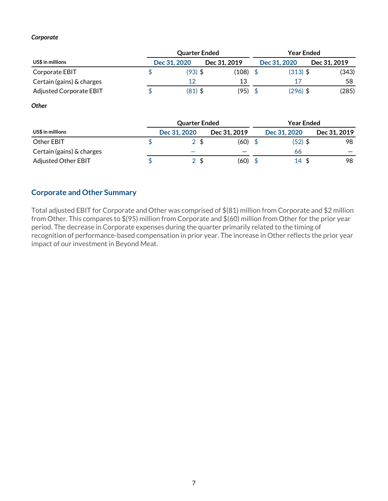#### *Corporate*

|                           | <b>Quarter Ended</b> |              | <b>Year Ended</b> |              |              |  |
|---------------------------|----------------------|--------------|-------------------|--------------|--------------|--|
| US\$ in millions          | Dec 31, 2020         | Dec 31, 2019 |                   | Dec 31, 2020 | Dec 31, 2019 |  |
| Corporate EBIT            | $(93)$ \$            | (108)        |                   | $(313)$ \$   | (343)        |  |
| Certain (gains) & charges | 12                   | 13           |                   | 17           | 58           |  |
| Adjusted Corporate EBIT   | $(81)$ \$            | (95)         |                   | $(296)$ \$   | (285)        |  |

*Other*

|                            | <b>Quarter Ended</b> |              | <b>Year Ended</b> |              |              |  |
|----------------------------|----------------------|--------------|-------------------|--------------|--------------|--|
| US\$ in millions           | Dec 31, 2020         | Dec 31, 2019 |                   | Dec 31, 2020 | Dec 31, 2019 |  |
| Other EBIT                 |                      | (60)         |                   | (52) \$      | 98           |  |
| Certain (gains) & charges  | _                    |              |                   | 66           |              |  |
| <b>Adjusted Other EBIT</b> |                      | (60)         |                   | 14S          | 98           |  |

#### **Corporate and Other Summary**

Total adjusted EBIT for Corporate and Other was comprised of \$(81) million from Corporate and \$2 million from Other. This compares to \$(95) million from Corporate and \$(60) million from Other for the prior year period. The decrease in Corporate expenses during the quarter primarily related to the timing of recognition of performance-based compensation in prior year. The increase in Other reflects the prior year impact of our investment in Beyond Meat.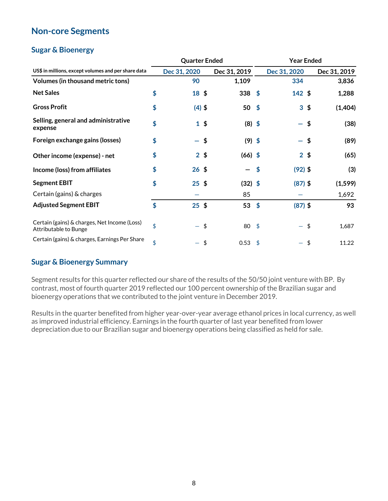#### **Non-core Segments** í

### **Sugar & Bioenergy**

| US\$ in millions, except volumes and per share data                   |    | <b>Quarter Ended</b> |                |           | <b>Year Ended</b>          |                |    |              |  |
|-----------------------------------------------------------------------|----|----------------------|----------------|-----------|----------------------------|----------------|----|--------------|--|
|                                                                       |    | Dec 31, 2020         |                |           |                            | Dec 31, 2020   |    | Dec 31, 2019 |  |
| Volumes (in thousand metric tons)                                     |    | 90                   |                | 1,109     |                            | 334            |    | 3,836        |  |
| <b>Net Sales</b>                                                      | \$ | 18 \$                |                | $338*$    |                            | $142$ \$       |    | 1,288        |  |
| <b>Gross Profit</b>                                                   | \$ | $(4)$ \$             |                | $50*$     |                            | $3\sqrt{5}$    |    | (1,404)      |  |
| Selling, general and administrative<br>expense                        | \$ |                      | $1 \,$ \$      | $(8)$ \$  |                            |                | \$ | (38)         |  |
| Foreign exchange gains (losses)                                       | \$ | - \$                 |                | $(9)$ \$  |                            |                | \$ | (89)         |  |
| Other income (expense) - net                                          | \$ |                      | 2 <sup>5</sup> | $(66)$ \$ |                            | 2 <sup>5</sup> |    | (65)         |  |
| Income (loss) from affiliates                                         | \$ | $26 \;$ \$           |                |           | $\boldsymbol{\mathsf{\$}}$ | $(92)$ \$      |    | (3)          |  |
| <b>Segment EBIT</b>                                                   | \$ | $25 \;$ \$           |                | $(32)$ \$ |                            | $(87)$ \$      |    | (1, 599)     |  |
| Certain (gains) & charges                                             |    |                      |                | 85        |                            |                |    | 1,692        |  |
| <b>Adjusted Segment EBIT</b>                                          | \$ | $25$ \$              |                | 53        | $\sqrt{5}$                 | $(87)$ \$      |    | 93           |  |
| Certain (gains) & charges, Net Income (Loss)<br>Attributable to Bunge | \$ |                      | \$             | 80        | $\mathfrak{s}$             |                | \$ | 1,687        |  |
| Certain (gains) & charges, Earnings Per Share                         | \$ |                      | \$             | 0.53      | - \$                       |                | \$ | 11.22        |  |

### **Sugar & Bioenergy Summary**

Segment results for this quarter reflected our share of the results of the 50/50 joint venture with BP. By contrast, most of fourth quarter 2019 reflected our 100 percent ownership of the Brazilian sugar and bioenergy operations that we contributed to the joint venture in December 2019.

Results in the quarter benefited from higher year-over-year average ethanol prices in local currency, as well as improved industrial efficiency. Earnings in the fourth quarter of last year benefited from lower depreciation due to our Brazilian sugar and bioenergy operations being classified as held for sale.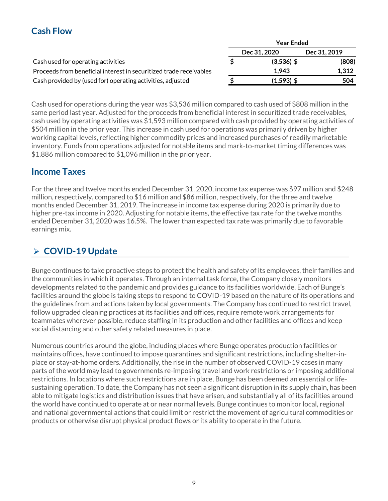#### **Cash Flow** j

|                                                                    | rear Ended   |              |  |  |  |  |  |
|--------------------------------------------------------------------|--------------|--------------|--|--|--|--|--|
|                                                                    | Dec 31, 2020 | Dec 31, 2019 |  |  |  |  |  |
| Cash used for operating activities                                 | $(3,536)$ \$ | (808)        |  |  |  |  |  |
| Proceeds from beneficial interest in securitized trade receivables | 1.943        | 1,312        |  |  |  |  |  |
| Cash provided by (used for) operating activities, adjusted         | $(1,593)$ \$ | 504          |  |  |  |  |  |

**Year Ended**

Cash used for operations during the year was \$3,536 million compared to cash used of \$808 million in the same period last year. Adjusted for the proceeds from beneficial interest in securitized trade receivables, cash used by operating activities was \$1,593 million compared with cash provided by operating activities of \$504 million in the prior year. This increase in cash used for operations was primarily driven by higher working capital levels, reflecting higher commodity prices and increased purchases of readily marketable inventory. Funds from operations adjusted for notable items and mark-to-market timing differences was \$1,886 million compared to \$1,096 million in the prior year.

### **Income Taxes**

For the three and twelve months ended December 31, 2020, income tax expense was \$97 million and \$248 million, respectively, compared to \$16 million and \$86 million, respectively, for the three and twelve months ended December 31, 2019. The increase in income tax expense during 2020 is primarily due to higher pre-tax income in 2020. Adjusting for notable items, the effective tax rate for the twelve months ended December 31, 2020 was 16.5%. The lower than expected tax rate was primarily due to favorable earnings mix.

# Ø **COVID-19 Update**

Bunge continues to take proactive steps to protect the health and safety of its employees, their families and the communities in which it operates. Through an internal task force, the Company closely monitors developments related to the pandemic and provides guidance to its facilities worldwide. Each of Bunge's facilities around the globe is taking steps to respond to COVID-19 based on the nature of its operations and the guidelines from and actions taken by local governments. The Company has continued to restrict travel, follow upgraded cleaning practices at its facilities and offices, require remote work arrangements for teammates wherever possible, reduce staffing in its production and other facilities and offices and keep social distancing and other safety related measures in place.

Numerous countries around the globe, including places where Bunge operates production facilities or maintains offices, have continued to impose quarantines and significant restrictions, including shelter-inplace or stay-at-home orders. Additionally, the rise in the number of observed COVID-19 cases in many parts of the world may lead to governments re-imposing travel and work restrictions or imposing additional restrictions. In locations where such restrictions are in place, Bunge has been deemed an essential or lifesustaining operation. To date, the Company has not seen a significant disruption in its supply chain, has been able to mitigate logistics and distribution issues that have arisen, and substantially all of its facilities around the world have continued to operate at or near normal levels. Bunge continues to monitor local, regional and national governmental actions that could limit or restrict the movement of agricultural commodities or products or otherwise disrupt physical product flows or its ability to operate in the future.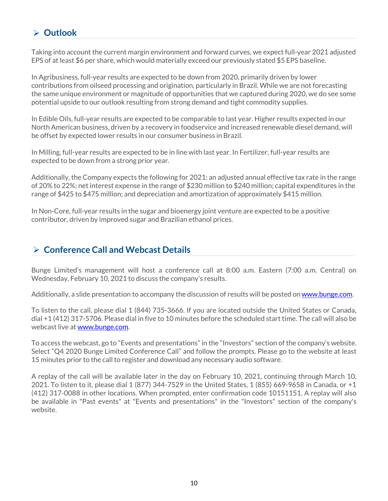# Ø **Outlook**

Taking into account the current margin environment and forward curves, we expect full-year 2021 adjusted EPS of at least \$6 per share, which would materially exceed our previously stated \$5 EPS baseline.

In Agribusiness, full-year results are expected to be down from 2020, primarily driven by lower contributions from oilseed processing and origination, particularly in Brazil. While we are not forecasting the same unique environment or magnitude of opportunities that we captured during 2020, we do see some potential upside to our outlook resulting from strong demand and tight commodity supplies.

In Edible Oils, full-year results are expected to be comparable to last year. Higher results expected in our North American business, driven by a recovery in foodservice and increased renewable diesel demand, will be offset by expected lower results in our consumer business in Brazil.

In Milling, full-year results are expected to be in line with last year. In Fertilizer, full-year results are expected to be down from a strong prior year.

Additionally, the Company expects the following for 2021: an adjusted annual effective tax rate in the range of 20% to 22%; net interest expense in the range of \$230 million to \$240 million; capital expenditures in the range of \$425 to \$475 million; and depreciation and amortization of approximately \$415 million.

In Non-Core, full-year results in the sugar and bioenergy joint venture are expected to be a positive contributor, driven by improved sugar and Brazilian ethanol prices.

### Ø **Conference Call and Webcast Details**

Bunge Limited's management will host a conference call at 8:00 a.m. Eastern (7:00 a.m. Central) on Wednesday, February 10, 2021 to discuss the company's results.

Additionally, a slide presentation to accompany the discussion of results will be posted on www.bunge.com.

To listen to the call, please dial 1 (844) 735-3666. If you are located outside the United States or Canada, dial +1 (412) 317-5706. Please dial in five to 10 minutes before the scheduled start time. The call will also be webcast live at www.bunge.com.

To access the webcast, go to "Events and presentations" in the "Investors" section of the company's website. Select "Q4 2020 Bunge Limited Conference Call" and follow the prompts. Please go to the website at least 15 minutes prior to the call to register and download any necessary audio software.

A replay of the call will be available later in the day on February 10, 2021, continuing through March 10, 2021. To listen to it, please dial 1 (877) 344-7529 in the United States, 1 (855) 669-9658 in Canada, or +1 (412) 317-0088 in other locations. When prompted, enter confirmation code 10151151. A replay will also be available in "Past events" at "Events and presentations" in the "Investors" section of the company's website.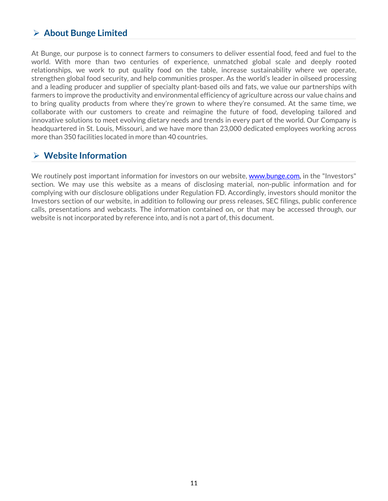## Ø **About Bunge Limited**

At Bunge, our purpose is to connect farmers to consumers to deliver essential food, feed and fuel to the world. With more than two centuries of experience, unmatched global scale and deeply rooted relationships, we work to put quality food on the table, increase sustainability where we operate, strengthen global food security, and help communities prosper. As the world's leader in oilseed processing and a leading producer and supplier of specialty plant-based oils and fats, we value our partnerships with farmers to improve the productivity and environmental efficiency of agriculture across our value chains and to bring quality products from where they're grown to where they're consumed. At the same time, we collaborate with our customers to create and reimagine the future of food, developing tailored and innovative solutions to meet evolving dietary needs and trends in every part of the world. Our Company is headquartered in St. Louis, Missouri, and we have more than 23,000 dedicated employees working across more than 350 facilities located in more than 40 countries.

### Ø **Website Information**

We routinely post important information for investors on our website, [www.bunge.com,](#page-1-0) in the "Investors" section. We may use this website as a means of disclosing material, non-public information and for complying with our disclosure obligations under Regulation FD. Accordingly, investors should monitor the Investors section of our website, in addition to following our press releases, SEC filings, public conference calls, presentations and webcasts. The information contained on, or that may be accessed through, our website is not incorporated by reference into, and is not a part of, this document.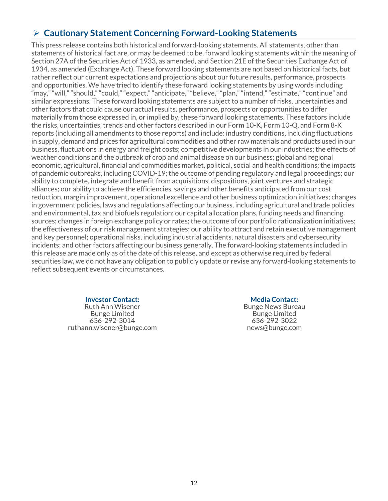# Ø **Cautionary Statement Concerning Forward-Looking Statements**

This press release contains both historical and forward-looking statements. All statements, other than statements of historical fact are, or may be deemed to be, forward looking statements within the meaning of Section 27A of the Securities Act of 1933, as amended, and Section 21E of the Securities Exchange Act of 1934, as amended (Exchange Act). These forward looking statements are not based on historical facts, but rather reflect our current expectations and projections about our future results, performance, prospects and opportunities. We have tried to identify these forward looking statements by using words including "may," "will," "should," "could," "expect," "anticipate," "believe," "plan," "intend," "estimate," "continue" and similar expressions. These forward looking statements are subject to a number of risks, uncertainties and other factors that could cause our actual results, performance, prospects or opportunities to differ materially from those expressed in, or implied by, these forward looking statements. These factors include the risks, uncertainties, trends and other factors described in our Form 10-K, Form 10-Q, and Form 8-K reports (including all amendments to those reports) and include: industry conditions, including fluctuations in supply, demand and prices for agricultural commodities and other raw materials and products used in our business, fluctuations in energy and freight costs; competitive developments in our industries; the effects of weather conditions and the outbreak of crop and animal disease on our business; global and regional economic, agricultural, financial and commodities market, political, social and health conditions; the impacts of pandemic outbreaks, including COVID-19; the outcome of pending regulatory and legal proceedings; our ability to complete, integrate and benefit from acquisitions, dispositions, joint ventures and strategic alliances; our ability to achieve the efficiencies, savings and other benefits anticipated from our cost reduction, margin improvement, operational excellence and other business optimization initiatives; changes in government policies, laws and regulations affecting our business, including agricultural and trade policies and environmental, tax and biofuels regulation; our capital allocation plans, funding needs and financing sources; changes in foreign exchange policy or rates; the outcome of our portfolio rationalization initiatives; the effectiveness of our risk management strategies; our ability to attract and retain executive management and key personnel; operational risks, including industrial accidents, natural disasters and cybersecurity incidents; and other factors affecting our business generally. The forward-looking statements included in this release are made only as of the date of this release, and except as otherwise required by federal securities law, we do not have any obligation to publicly update or revise any forward-looking statements to reflect subsequent events or circumstances.

#### **Investor Contact:**

Ruth Ann Wisener Bunge Limited 636-292-3014 ruthann.wisener@bunge.com

#### **Media Contact:**

Bunge News Bureau Bunge Limited 636-292-3022 news@bunge.com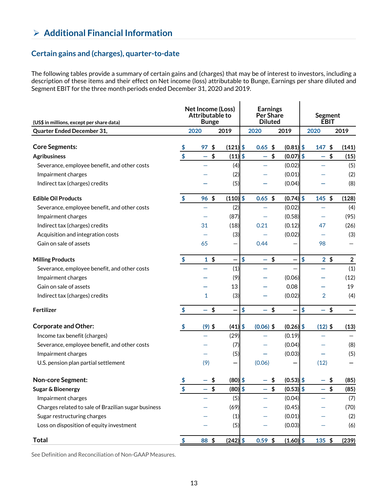# Ø **Additional Financial Information**

### **Certain gains and (charges), quarter-to-date**

The following tables provide a summary of certain gains and (charges) that may be of interest to investors, including a description of these items and their effect on Net income (loss) attributable to Bunge, Earnings per share diluted and Segment EBIT for the three month periods ended December 31, 2020 and 2019.

| (US\$ in millions, except per share data)           | Net Income (Loss)<br><b>Attributable to</b><br><b>Bunge</b> |                 | <b>Earnings</b><br><b>Per Share</b><br><b>Diluted</b> |             |    | Segment<br><b>ÉBIT</b>   |               |                          |                |                |
|-----------------------------------------------------|-------------------------------------------------------------|-----------------|-------------------------------------------------------|-------------|----|--------------------------|---------------|--------------------------|----------------|----------------|
| Quarter Ended December 31,                          |                                                             | 2020            | 2019                                                  | 2020        |    | 2019                     |               | 2020                     |                | 2019           |
| <b>Core Segments:</b>                               | \$                                                          | 97 <sup>5</sup> | $(121)$ \$                                            | $0.65$ \$   |    | $(0.81)$ \$              |               | $147$ \$                 |                | (141)          |
| <b>Agribusiness</b>                                 | $\frac{1}{2}$                                               | $-$ \$          | $(11) $ \$                                            | $-5$        |    | $(0.07)$ \$              |               | $-$ \$                   |                | (15)           |
| Severance, employee benefit, and other costs        |                                                             |                 | (4)                                                   |             |    | (0.02)                   |               | -                        |                | (5)            |
| Impairment charges                                  |                                                             |                 | (2)                                                   |             |    | (0.01)                   |               |                          |                | (2)            |
| Indirect tax (charges) credits                      |                                                             |                 | (5)                                                   |             |    | (0.04)                   |               |                          |                | (8)            |
| <b>Edible Oil Products</b>                          | $\frac{1}{2}$                                               | $96 \;$ \$      | $(110)$ \$                                            | $0.65$ \$   |    | $(0.74)$ \$              |               | $145$ \$                 |                | (128)          |
| Severance, employee benefit, and other costs        |                                                             |                 | (2)                                                   |             |    | (0.02)                   |               |                          |                | (4)            |
| Impairment charges                                  |                                                             |                 | (87)                                                  |             |    | (0.58)                   |               |                          |                | (95)           |
| Indirect tax (charges) credits                      |                                                             | 31              | (18)                                                  | 0.21        |    | (0.12)                   |               | 47                       |                | (26)           |
| Acquisition and integration costs                   |                                                             |                 | (3)                                                   |             |    | (0.02)                   |               |                          |                | (3)            |
| Gain on sale of assets                              |                                                             | 65              |                                                       | 0.44        |    |                          |               | 98                       |                |                |
| <b>Milling Products</b>                             | $\frac{1}{2}$                                               | 1 <sup>5</sup>  |                                                       | \$<br>-     | \$ | —                        | \$            |                          | 2 <sup>5</sup> | $\overline{2}$ |
| Severance, employee benefit, and other costs        |                                                             |                 | (1)                                                   |             |    |                          |               |                          |                | (1)            |
| Impairment charges                                  |                                                             |                 | (9)                                                   |             |    | (0.06)                   |               |                          |                | (12)           |
| Gain on sale of assets                              |                                                             |                 | 13                                                    |             |    | 0.08                     |               |                          |                | 19             |
| Indirect tax (charges) credits                      |                                                             | $\mathbf{1}$    | (3)                                                   |             |    | (0.02)                   |               | $\overline{2}$           |                | (4)            |
| Fertilizer                                          | \$                                                          | - \$            |                                                       | \$<br>- \$  |    | $\overline{\phantom{0}}$ | $\frac{1}{2}$ | $-$ \$                   |                |                |
| <b>Corporate and Other:</b>                         | \$                                                          | $(9)$ \$        | $(41)$ \$                                             | $(0.06)$ \$ |    | $(0.26)$ \$              |               | $(12)$ \$                |                | (13)           |
| Income tax benefit (charges)                        |                                                             |                 | (29)                                                  |             |    | (0.19)                   |               |                          |                |                |
| Severance, employee benefit, and other costs        |                                                             |                 | (7)                                                   |             |    | (0.04)                   |               |                          |                | (8)            |
| Impairment charges                                  |                                                             |                 | (5)                                                   |             |    | (0.03)                   |               |                          |                | (5)            |
| U.S. pension plan partial settlement                |                                                             | (9)             | $\qquad \qquad \qquad$                                | (0.06)      |    | -                        |               | (12)                     |                |                |
| <b>Non-core Segment:</b>                            | \$                                                          |                 | \$<br>$(80)$ \$                                       |             | \$ | $(0.53)$ \$              |               |                          | \$             | (85)           |
| Sugar & Bioenergy                                   | \$                                                          |                 | \$<br>$(80)$ \$                                       |             | \$ | $(0.53)$ \$              |               | $\overline{\phantom{0}}$ | \$             | (85)           |
| Impairment charges                                  |                                                             |                 | (5)                                                   |             |    | (0.04)                   |               |                          |                | (7)            |
| Charges related to sale of Brazilian sugar business |                                                             |                 | (69)                                                  |             |    | (0.45)                   |               |                          |                | (70)           |
| Sugar restructuring charges                         |                                                             |                 | (1)                                                   |             |    | (0.01)                   |               |                          |                | (2)            |
| Loss on disposition of equity investment            |                                                             |                 | (5)                                                   |             |    | (0.03)                   |               |                          |                | (6)            |
| <b>Total</b>                                        | \$                                                          | 88 \$           | $(242)$ \$                                            | $0.59$ \$   |    | $(1.60)$ \$              |               | 135 \$                   |                | (239)          |

See Definition and Reconciliation of Non-GAAP Measures.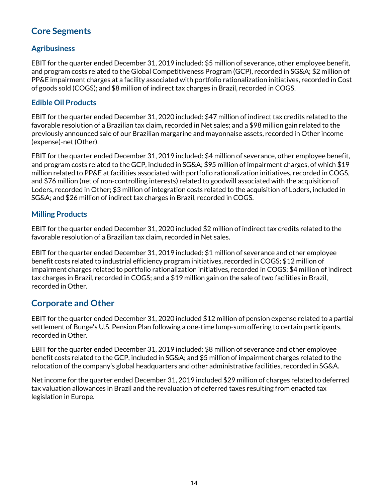#### **Core Segments**  j

### **Agribusiness**

EBIT for the quarter ended December 31, 2019 included: \$5 million of severance, other employee benefit, and program costs related to the Global Competitiveness Program (GCP), recorded in SG&A; \$2 million of PP&E impairment charges at a facility associated with portfolio rationalization initiatives, recorded in Cost of goods sold (COGS); and \$8 million of indirect tax charges in Brazil, recorded in COGS.

#### **Edible Oil Products**

EBIT for the quarter ended December 31, 2020 included: \$47 million of indirect tax credits related to the favorable resolution of a Brazilian tax claim, recorded in Net sales; and a \$98 million gain related to the previously announced sale of our Brazilian margarine and mayonnaise assets, recorded in Other income (expense)-net (Other).

EBIT for the quarter ended December 31, 2019 included: \$4 million of severance, other employee benefit, and program costs related to the GCP, included in SG&A; \$95 million of impairment charges, of which \$19 million related to PP&E at facilities associated with portfolio rationalization initiatives, recorded in COGS, and \$76 million (net of non-controlling interests) related to goodwill associated with the acquisition of Loders, recorded in Other; \$3 million of integration costs related to the acquisition of Loders, included in SG&A; and \$26 million of indirect tax charges in Brazil, recorded in COGS.

#### **Milling Products**

EBIT for the quarter ended December 31, 2020 included \$2 million of indirect tax credits related to the favorable resolution of a Brazilian tax claim, recorded in Net sales.

EBIT for the quarter ended December 31, 2019 included: \$1 million of severance and other employee benefit costs related to industrial efficiency program initiatives, recorded in COGS; \$12 million of impairment charges related to portfolio rationalization initiatives, recorded in COGS; \$4 million of indirect tax charges in Brazil, recorded in COGS; and a \$19 million gain on the sale of two facilities in Brazil, recorded in Other.

### **Corporate and Other**

EBIT for the quarter ended December 31, 2020 included \$12 million of pension expense related to a partial settlement of Bunge's U.S. Pension Plan following a one-time lump-sum offering to certain participants, recorded in Other.

EBIT for the quarter ended December 31, 2019 included: \$8 million of severance and other employee benefit costs related to the GCP, included in SG&A; and \$5 million of impairment charges related to the relocation of the company's global headquarters and other administrative facilities, recorded in SG&A.

Net income for the quarter ended December 31, 2019 included \$29 million of charges related to deferred tax valuation allowances in Brazil and the revaluation of deferred taxes resulting from enacted tax legislation in Europe.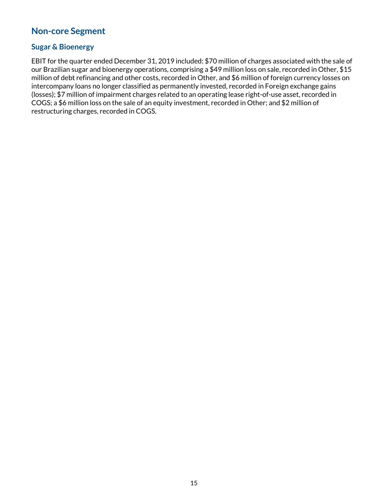#### **Non-core Segment** í

#### **Sugar & Bioenergy**

EBIT for the quarter ended December 31, 2019 included: \$70 million of charges associated with the sale of our Brazilian sugar and bioenergy operations, comprising a \$49 million loss on sale, recorded in Other, \$15 million of debt refinancing and other costs, recorded in Other, and \$6 million of foreign currency losses on intercompany loans no longer classified as permanently invested, recorded in Foreign exchange gains (losses); \$7 million of impairment charges related to an operating lease right-of-use asset, recorded in COGS; a \$6 million loss on the sale of an equity investment, recorded in Other; and \$2 million of restructuring charges, recorded in COGS.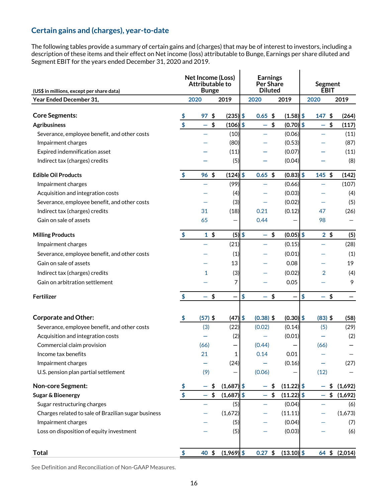#### **Certain gains and (charges), year-to-date** j

The following tables provide a summary of certain gains and (charges) that may be of interest to investors, including a description of these items and their effect on Net income (loss) attributable to Bunge, Earnings per share diluted and Segment EBIT for the years ended December 31, 2020 and 2019.

| (US\$ in millions, except per share data)           | Net Income (Loss)<br><b>Attributable to</b><br><b>Bunge</b> |                          |                    |                                | <b>Earnings</b><br><b>Per Share</b><br><b>Diluted</b> | <b>Segment</b><br><b>EBIT</b> |                                |               |  |
|-----------------------------------------------------|-------------------------------------------------------------|--------------------------|--------------------|--------------------------------|-------------------------------------------------------|-------------------------------|--------------------------------|---------------|--|
| Year Ended December 31,                             |                                                             | 2020                     | 2019               | 2020                           | 2019                                                  | 2020                          |                                | 2019          |  |
|                                                     |                                                             |                          |                    |                                |                                                       |                               |                                |               |  |
| <b>Core Segments:</b>                               | \$<br>$\overline{\$}$                                       | $97$ \$                  | $(235)$ \$         | $0.65$ \$                      | $(1.58)$ \$                                           |                               | $147$ \$                       | (264)         |  |
| <b>Agribusiness</b>                                 |                                                             | $-$ \$                   | $(106)$ \$         |                                | $-5$<br>$(0.70)$ \$                                   |                               | $-$ \$                         | (117)         |  |
| Severance, employee benefit, and other costs        |                                                             |                          | (10)               |                                | (0.06)                                                | $\overline{\phantom{0}}$      |                                | (11)          |  |
| Impairment charges                                  |                                                             |                          | (80)               |                                | (0.53)                                                |                               |                                | (87)          |  |
| Expired indemnification asset                       |                                                             |                          | (11)               |                                | (0.07)                                                |                               |                                | (11)          |  |
| Indirect tax (charges) credits                      |                                                             |                          | (5)                |                                | (0.04)                                                |                               |                                | (8)           |  |
| <b>Edible Oil Products</b>                          | \$                                                          | $96 \;$ \$               | $(124)$ \$         | $0.65$ \$                      | $(0.83)$ \$                                           |                               | $145$ \$                       | (142)         |  |
| Impairment charges                                  |                                                             |                          | (99)               |                                | (0.66)                                                |                               |                                | (107)         |  |
| Acquisition and integration costs                   |                                                             |                          | (4)                |                                | (0.03)                                                |                               |                                | (4)           |  |
| Severance, employee benefit, and other costs        |                                                             |                          | (3)                |                                | (0.02)                                                |                               |                                | (5)           |  |
| Indirect tax (charges) credits                      |                                                             | 31                       | (18)               | 0.21                           | (0.12)                                                | 47                            |                                | (26)          |  |
| Gain on sale of assets                              |                                                             | 65                       |                    | 0.44                           |                                                       | 98                            |                                |               |  |
| <b>Milling Products</b>                             | $\frac{1}{2}$                                               | $1 \text{ }$             | $(5)$ \$           |                                | $(0.05)$ \$<br>$-$ \$                                 |                               | $2 \,$ \$                      | (5)           |  |
| Impairment charges                                  |                                                             |                          | (21)               |                                | (0.15)                                                |                               |                                | (28)          |  |
| Severance, employee benefit, and other costs        |                                                             |                          | (1)                |                                | (0.01)                                                |                               |                                | (1)           |  |
| Gain on sale of assets                              |                                                             |                          | 13                 |                                | 0.08                                                  |                               |                                | 19            |  |
| Indirect tax (charges) credits                      |                                                             | 1                        | (3)                |                                | (0.02)                                                |                               | $\overline{2}$                 | (4)           |  |
| Gain on arbitration settlement                      |                                                             |                          | $\overline{7}$     |                                | 0.05                                                  |                               |                                | 9             |  |
|                                                     |                                                             |                          |                    |                                |                                                       |                               |                                |               |  |
| Fertilizer                                          | \$                                                          | $\overline{\phantom{0}}$ | \$                 | \$<br>$\overline{\phantom{0}}$ | \$<br>-                                               | \$                            | \$<br>$\overline{\phantom{0}}$ |               |  |
| <b>Corporate and Other:</b>                         | \$                                                          | $(57)$ \$                | $(47)$ \$          | $(0.38)$ \$                    | $(0.30)$ \$                                           |                               | $(83)$ \$                      | (58)          |  |
| Severance, employee benefit, and other costs        |                                                             | (3)                      | (22)               | (0.02)                         | (0.14)                                                |                               | (5)                            | (29)          |  |
| Acquisition and integration costs                   |                                                             |                          | (2)                |                                | (0.01)                                                |                               |                                | (2)           |  |
| Commercial claim provision                          |                                                             | (66)                     |                    | (0.44)                         |                                                       | (66)                          |                                |               |  |
| Income tax benefits                                 |                                                             | 21                       | 1                  | 0.14                           | 0.01                                                  |                               |                                |               |  |
| Impairment charges                                  |                                                             |                          | (24)               |                                | (0.16)                                                |                               |                                | (27)          |  |
| U.S. pension plan partial settlement                |                                                             | (9)                      |                    | (0.06)                         |                                                       | (12)                          |                                |               |  |
| <b>Non-core Segment:</b>                            | $\frac{3}{2}$                                               |                          | $(1,687)$ \$<br>\$ |                                | $(11.22)$ \$<br>\$                                    |                               |                                | \$(1,692)     |  |
| Sugar & Bioenergy                                   | $\overline{\$}$                                             | -                        | $(1,687)$ \$<br>\$ | -                              | \$<br>$(11.22)$ \$                                    |                               | \$<br>$\overline{\phantom{0}}$ | (1,692)       |  |
| Sugar restructuring charges                         |                                                             |                          | (5)                |                                | (0.04)                                                |                               |                                | (6)           |  |
| Charges related to sale of Brazilian sugar business |                                                             |                          | (1,672)            |                                | (11.11)                                               |                               |                                | (1,673)       |  |
| Impairment charges                                  |                                                             |                          | (5)                |                                | (0.04)                                                |                               |                                | (7)           |  |
| Loss on disposition of equity investment            |                                                             |                          | (5)                |                                | (0.03)                                                |                               |                                | (6)           |  |
|                                                     |                                                             |                          |                    |                                |                                                       |                               |                                |               |  |
| <b>Total</b>                                        | $\frac{1}{2}$                                               | 40 \$                    | $(1,969)$ \$       | $0.27$ \$                      | $(13.10)$ \$                                          |                               |                                | 64 \$ (2,014) |  |

See Definition and Reconciliation of Non-GAAP Measures.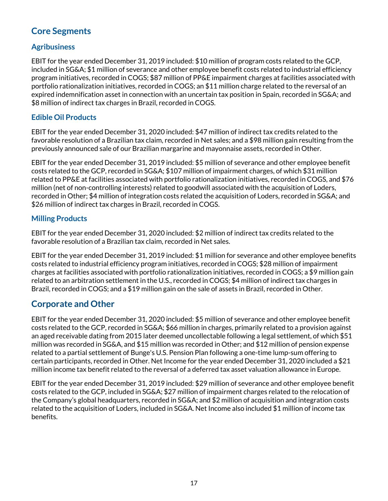#### **Core Segments**  j

### **Agribusiness**

EBIT for the year ended December 31, 2019 included: \$10 million of program costs related to the GCP, included in SG&A; \$1 million of severance and other employee benefit costs related to industrial efficiency program initiatives, recorded in COGS; \$87 million of PP&E impairment charges at facilities associated with portfolio rationalization initiatives, recorded in COGS; an \$11 million charge related to the reversal of an expired indemnification asset in connection with an uncertain tax position in Spain, recorded in SG&A; and \$8 million of indirect tax charges in Brazil, recorded in COGS.

#### **Edible Oil Products**

EBIT for the year ended December 31, 2020 included: \$47 million of indirect tax credits related to the favorable resolution of a Brazilian tax claim, recorded in Net sales; and a \$98 million gain resulting from the previously announced sale of our Brazilian margarine and mayonnaise assets, recorded in Other.

EBIT for the year ended December 31, 2019 included: \$5 million of severance and other employee benefit costs related to the GCP, recorded in SG&A; \$107 million of impairment charges, of which \$31 million related to PP&E at facilities associated with portfolio rationalization initiatives, recorded in COGS, and \$76 million (net of non-controlling interests) related to goodwill associated with the acquisition of Loders, recorded in Other; \$4 million of integration costs related the acquisition of Loders, recorded in SG&A; and \$26 million of indirect tax charges in Brazil, recorded in COGS.

### **Milling Products**

EBIT for the year ended December 31, 2020 included: \$2 million of indirect tax credits related to the favorable resolution of a Brazilian tax claim, recorded in Net sales.

EBIT for the year ended December 31, 2019 included: \$1 million for severance and other employee benefits costs related to industrial efficiency program initiatives, recorded in COGS; \$28 million of impairment charges at facilities associated with portfolio rationalization initiatives, recorded in COGS; a \$9 million gain related to an arbitration settlement in the U.S., recorded in COGS; \$4 million of indirect tax charges in Brazil, recorded in COGS; and a \$19 million gain on the sale of assets in Brazil, recorded in Other.

### **Corporate and Other**

EBIT for the year ended December 31, 2020 included: \$5 million of severance and other employee benefit costs related to the GCP, recorded in SG&A; \$66 million in charges, primarily related to a provision against an aged receivable dating from 2015 later deemed uncollectable following a legal settlement, of which \$51 million was recorded in SG&A, and \$15 million was recorded in Other; and \$12 million of pension expense related to a partial settlement of Bunge's U.S. Pension Plan following a one-time lump-sum offering to certain participants, recorded in Other. Net Income for the year ended December 31, 2020 included a \$21 million income tax benefit related to the reversal of a deferred tax asset valuation allowance in Europe.

EBIT for the year ended December 31, 2019 included: \$29 million of severance and other employee benefit costs related to the GCP, included in SG&A; \$27 million of impairment charges related to the relocation of the Company's global headquarters, recorded in SG&A; and \$2 million of acquisition and integration costs related to the acquisition of Loders, included in SG&A. Net Income also included \$1 million of income tax benefits.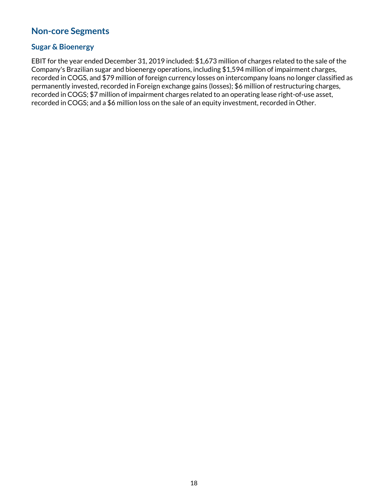#### **Non-core Segments** í

#### **Sugar & Bioenergy**

EBIT for the year ended December 31, 2019 included: \$1,673 million of charges related to the sale of the Company's Brazilian sugar and bioenergy operations, including \$1,594 million of impairment charges, recorded in COGS, and \$79 million of foreign currency losses on intercompany loans no longer classified as permanently invested, recorded in Foreign exchange gains (losses); \$6 million of restructuring charges, recorded in COGS; \$7 million of impairment charges related to an operating lease right-of-use asset, recorded in COGS; and a \$6 million loss on the sale of an equity investment, recorded in Other.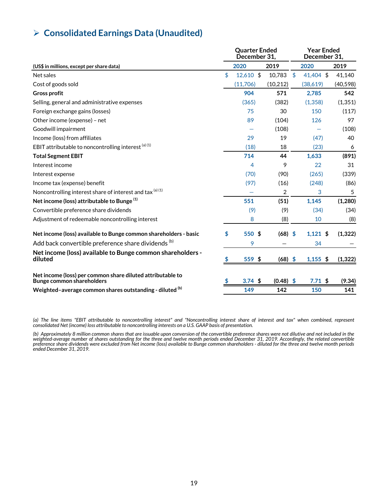# Ø **Consolidated Earnings Data (Unaudited)**

|                                                                                         |    | <b>Quarter Ended</b><br>December 31, |     |             |      | <b>Year Ended</b><br>December 31. |       |           |  |
|-----------------------------------------------------------------------------------------|----|--------------------------------------|-----|-------------|------|-----------------------------------|-------|-----------|--|
| (US\$ in millions, except per share data)                                               |    | 2020                                 |     | 2019        |      | 2020                              |       | 2019      |  |
| Net sales                                                                               | \$ | $12,610$ \$                          |     | 10,783      | -\$  | 41,404 \$                         |       | 41,140    |  |
| Cost of goods sold                                                                      |    | (11,706)                             |     | (10, 212)   |      | (38,619)                          |       | (40, 598) |  |
| <b>Gross profit</b>                                                                     |    | 904                                  |     | 571         |      | 2,785                             |       | 542       |  |
| Selling, general and administrative expenses                                            |    | (365)                                |     | (382)       |      | (1, 358)                          |       | (1, 351)  |  |
| Foreign exchange gains (losses)                                                         |    | 75                                   |     | 30          |      | 150                               |       | (117)     |  |
| Other income (expense) - net                                                            |    | 89                                   |     | (104)       |      | 126                               | 97    |           |  |
| Goodwill impairment                                                                     |    |                                      |     | (108)       |      |                                   | (108) |           |  |
| Income (loss) from affiliates                                                           |    | 29<br>19                             |     |             | (47) |                                   |       | 40        |  |
| EBIT attributable to noncontrolling interest $(a)$ (1)                                  |    | (18)<br>18                           |     |             | (23) |                                   |       | 6         |  |
| <b>Total Segment EBIT</b>                                                               |    | 714                                  |     | 44          |      | 1,633                             |       | (891)     |  |
| Interest income                                                                         |    | 4                                    |     | 9           |      | 22                                |       | 31        |  |
| Interest expense                                                                        |    | (70)                                 |     | (90)        |      | (265)                             |       | (339)     |  |
| Income tax (expense) benefit                                                            |    | (97)                                 |     | (16)        |      | (248)                             |       | (86)      |  |
| Noncontrolling interest share of interest and tax (a) (1)                               |    |                                      |     | 2           |      | 3                                 |       | 5         |  |
| Net income (loss) attributable to Bunge <sup>(1)</sup>                                  |    | 551                                  |     | (51)        |      | 1,145                             |       | (1,280)   |  |
| Convertible preference share dividends                                                  |    | (9)                                  | (9) |             | (34) |                                   | (34)  |           |  |
| Adjustment of redeemable noncontrolling interest                                        |    | 8                                    |     | (8)         |      | 10                                |       | (8)       |  |
| Net income (loss) available to Bunge common shareholders - basic                        | \$ | 550 \$                               |     | (68)        | -\$  | $1,121$ \$                        |       | (1, 322)  |  |
| Add back convertible preference share dividends (b)                                     |    | 9                                    |     |             |      | 34                                |       |           |  |
| Net income (loss) available to Bunge common shareholders -<br>diluted                   |    | $559$ \$                             |     | $(68)$ \$   |      | $1,155$ \$                        |       | (1, 322)  |  |
| Net income (loss) per common share diluted attributable to<br>Bunge common shareholders |    | $3.74$ \$                            |     | $(0.48)$ \$ |      | 7.71~\$                           |       | (9.34)    |  |
| Weighted-average common shares outstanding - diluted (b)                                |    | 149                                  |     | 142         |      | 150                               |       | 141       |  |

*(a) The line items "EBIT attributable to noncontrolling interest" and "Noncontrolling interest share of interest and tax" when combined, represent consolidated Net (income) loss attributable to noncontrolling interests on a U.S. GAAP basis of presentation.*

(b) Approximately 8 million common shares that are issuable upon conversion of the convertible preference shares were not dilutive and not included in the<br>weighted-average number of shares outstanding for the three and twe *ended December 31, 2019.*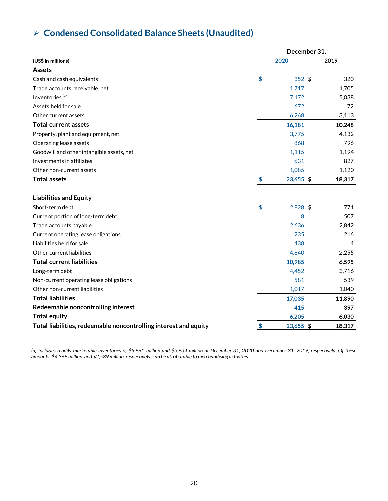# Ø **Condensed Consolidated Balance Sheets (Unaudited)**

|                                                                  | December 31, |           |        |  |  |
|------------------------------------------------------------------|--------------|-----------|--------|--|--|
| (US\$ in millions)                                               |              | 2020      | 2019   |  |  |
| <b>Assets</b>                                                    |              |           |        |  |  |
| Cash and cash equivalents                                        | \$           | $352$ \$  | 320    |  |  |
| Trade accounts receivable, net                                   |              | 1,717     | 1,705  |  |  |
| Inventories <sup>(a)</sup>                                       |              | 7,172     | 5,038  |  |  |
| Assets held for sale                                             |              | 672       | 72     |  |  |
| Other current assets                                             |              | 6,268     | 3,113  |  |  |
| <b>Total current assets</b>                                      |              | 16,181    | 10,248 |  |  |
| Property, plant and equipment, net                               |              | 3,775     | 4,132  |  |  |
| Operating lease assets                                           |              | 868       | 796    |  |  |
| Goodwill and other intangible assets, net                        |              | 1,115     | 1,194  |  |  |
| Investments in affiliates                                        |              | 631       | 827    |  |  |
| Other non-current assets                                         |              | 1,085     | 1,120  |  |  |
| <b>Total assets</b>                                              | \$           | 23,655 \$ | 18,317 |  |  |
| <b>Liabilities and Equity</b>                                    |              |           |        |  |  |
| Short-term debt                                                  | \$           | 2,828 \$  | 771    |  |  |
| Current portion of long-term debt                                |              | 8         | 507    |  |  |
| Trade accounts payable                                           |              | 2,636     | 2,842  |  |  |
| Current operating lease obligations                              |              | 235       | 216    |  |  |
| Liabilities held for sale                                        |              | 438       | 4      |  |  |
| Other current liabilities                                        |              | 4,840     | 2,255  |  |  |
| <b>Total current liabilities</b>                                 |              | 10,985    | 6,595  |  |  |
| Long-term debt                                                   |              | 4,452     | 3,716  |  |  |
| Non-current operating lease obligations                          |              | 581       | 539    |  |  |
| Other non-current liabilities                                    |              | 1,017     | 1,040  |  |  |
| <b>Total liabilities</b>                                         |              | 17,035    | 11,890 |  |  |
| Redeemable noncontrolling interest                               |              | 415       | 397    |  |  |
| <b>Total equity</b>                                              |              | 6,205     | 6,030  |  |  |
| Total liabilities, redeemable noncontrolling interest and equity | \$           | 23,655 \$ | 18,317 |  |  |

*(a) Includes readily marketable inventories of \$5,961 million and \$3,934 million at December 31, 2020 and December 31, 2019, respectively. Of these amounts, \$4,369 million and \$2,589 million, respectively, can be attributable to merchandising activities.*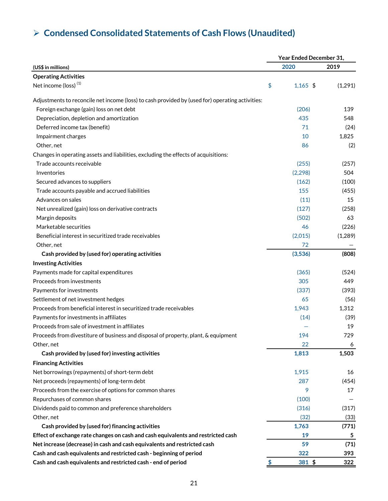# Ø **Condensed Consolidated Statements of Cash Flows (Unaudited)**

|                                                                                                 | Year Ended December 31, |            |         |  |  |  |
|-------------------------------------------------------------------------------------------------|-------------------------|------------|---------|--|--|--|
| (US\$ in millions)                                                                              |                         | 2020       | 2019    |  |  |  |
| <b>Operating Activities</b>                                                                     |                         |            |         |  |  |  |
| Net income (loss) <sup>(1)</sup>                                                                | \$                      | $1,165$ \$ | (1,291) |  |  |  |
| Adjustments to reconcile net income (loss) to cash provided by (used for) operating activities: |                         |            |         |  |  |  |
| Foreign exchange (gain) loss on net debt                                                        |                         | (206)      | 139     |  |  |  |
| Depreciation, depletion and amortization                                                        |                         | 435        | 548     |  |  |  |
| Deferred income tax (benefit)                                                                   |                         | 71         | (24)    |  |  |  |
| Impairment charges                                                                              |                         | 10         | 1,825   |  |  |  |
| Other, net                                                                                      |                         | 86         | (2)     |  |  |  |
| Changes in operating assets and liabilities, excluding the effects of acquisitions:             |                         |            |         |  |  |  |
| Trade accounts receivable                                                                       |                         | (255)      | (257)   |  |  |  |
| Inventories                                                                                     |                         | (2, 298)   | 504     |  |  |  |
| Secured advances to suppliers                                                                   |                         | (162)      | (100)   |  |  |  |
| Trade accounts payable and accrued liabilities                                                  |                         | 155        | (455)   |  |  |  |
| Advances on sales                                                                               |                         | (11)       | 15      |  |  |  |
| Net unrealized (gain) loss on derivative contracts                                              |                         | (127)      | (258)   |  |  |  |
| Margin deposits                                                                                 |                         | (502)      | 63      |  |  |  |
| Marketable securities                                                                           |                         | 46         | (226)   |  |  |  |
| Beneficial interest in securitized trade receivables                                            |                         | (2,015)    | (1,289) |  |  |  |
| Other, net                                                                                      |                         | 72         |         |  |  |  |
| Cash provided by (used for) operating activities                                                |                         | (3,536)    | (808)   |  |  |  |
| <b>Investing Activities</b>                                                                     |                         |            |         |  |  |  |
| Payments made for capital expenditures                                                          |                         | (365)      | (524)   |  |  |  |
| Proceeds from investments                                                                       |                         | 305        | 449     |  |  |  |
| Payments for investments                                                                        |                         | (337)      | (393)   |  |  |  |
| Settlement of net investment hedges                                                             |                         | 65         | (56)    |  |  |  |
| Proceeds from beneficial interest in securitized trade receivables                              |                         | 1,943      | 1,312   |  |  |  |
| Payments for investments in affiliates                                                          |                         | (14)       | (39)    |  |  |  |
| Proceeds from sale of investment in affiliates                                                  |                         |            | 19      |  |  |  |
| Proceeds from divestiture of business and disposal of property, plant, & equipment              |                         | 194        | 729     |  |  |  |
| Other, net                                                                                      |                         | 22         | 6       |  |  |  |
| Cash provided by (used for) investing activities                                                |                         | 1,813      | 1,503   |  |  |  |
| <b>Financing Activities</b>                                                                     |                         |            |         |  |  |  |
| Net borrowings (repayments) of short-term debt                                                  |                         |            | 16      |  |  |  |
| Net proceeds (repayments) of long-term debt                                                     |                         | 1,915      |         |  |  |  |
|                                                                                                 |                         | 287<br>9   | (454)   |  |  |  |
| Proceeds from the exercise of options for common shares                                         |                         |            | 17      |  |  |  |
| Repurchases of common shares                                                                    |                         | (100)      |         |  |  |  |
| Dividends paid to common and preference shareholders                                            |                         | (316)      | (317)   |  |  |  |
| Other, net                                                                                      |                         | (32)       | (33)    |  |  |  |
| Cash provided by (used for) financing activities                                                |                         | 1,763      | (771)   |  |  |  |
| Effect of exchange rate changes on cash and cash equivalents and restricted cash                |                         | 19         | 5       |  |  |  |
| Net increase (decrease) in cash and cash equivalents and restricted cash                        |                         | 59         | (71)    |  |  |  |
| Cash and cash equivalents and restricted cash - beginning of period                             |                         | 322        | 393     |  |  |  |
| Cash and cash equivalents and restricted cash - end of period                                   |                         | 381 \$     | 322     |  |  |  |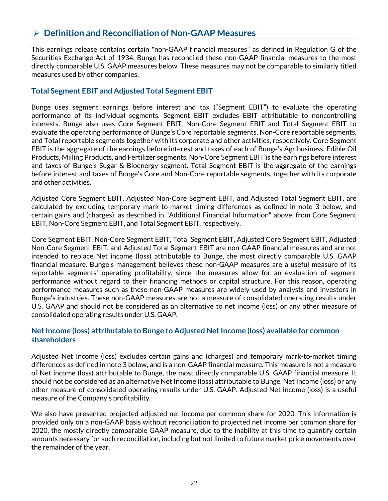### Ø **Definition and Reconciliation of Non-GAAP Measures**

This earnings release contains certain "non-GAAP financial measures" as defined in Regulation G of the Securities Exchange Act of 1934. Bunge has reconciled these non-GAAP financial measures to the most directly comparable U.S. GAAP measures below. These measures may not be comparable to similarly titled measures used by other companies.

### **Total Segment EBIT and Adjusted Total Segment EBIT**

Bunge uses segment earnings before interest and tax ("Segment EBIT") to evaluate the operating performance of its individual segments. Segment EBIT excludes EBIT attributable to noncontrolling interests. Bunge also uses Core Segment EBIT, Non-Core Segment EBIT and Total Segment EBIT to evaluate the operating performance of Bunge's Core reportable segments, Non-Core reportable segments, and Total reportable segments together with its corporate and other activities, respectively. Core Segment EBIT is the aggregate of the earnings before interest and taxes of each of Bunge's Agribusiness, Edible Oil Products, Milling Products, and Fertilizer segments. Non-Core Segment EBIT is the earnings before interest and taxes of Bunge's Sugar & Bioenergy segment. Total Segment EBIT is the aggregate of the earnings before interest and taxes of Bunge's Core and Non-Core reportable segments, together with its corporate and other activities.

Adjusted Core Segment EBIT, Adjusted Non-Core Segment EBIT, and Adjusted Total Segment EBIT, are calculated by excluding temporary mark-to-market timing differences as defined in note 3 below, and certain gains and (charges), as described in "Additional Financial Information" above, from Core Segment EBIT, Non-Core Segment EBIT, and Total Segment EBIT, respectively.

Core Segment EBIT, Non-Core Segment EBIT, Total Segment EBIT, Adjusted Core Segment EBIT, Adjusted Non-Core Segment EBIT, and Adjusted Total Segment EBIT are non-GAAP financial measures and are not intended to replace Net income (loss) attributable to Bunge, the most directly comparable U.S. GAAP financial measure. Bunge's management believes these non-GAAP measures are a useful measure of its reportable segments' operating profitability, since the measures allow for an evaluation of segment performance without regard to their financing methods or capital structure. For this reason, operating performance measures such as these non-GAAP measures are widely used by analysts and investors in Bunge's industries. These non-GAAP measures are not a measure of consolidated operating results under U.S. GAAP and should not be considered as an alternative to net income (loss) or any other measure of consolidated operating results under U.S. GAAP.

#### **Net Income (loss) attributable to Bunge to Adjusted Net Income (loss) available for common shareholders**

Adjusted Net Income (loss) excludes certain gains and (charges) and temporary mark-to-market timing differences as defined in note 3 below, and is a non-GAAP financial measure. This measure is not a measure of Net income (loss) attributable to Bunge, the most directly comparable U.S. GAAP financial measure. It should not be considered as an alternative Net Income (loss) attributable to Bunge, Net Income (loss) or any other measure of consolidated operating results under U.S. GAAP. Adjusted Net income (loss) is a useful measure of the Company's profitability.

We also have presented projected adjusted net income per common share for 2020. This information is provided only on a non-GAAP basis without reconciliation to projected net income per common share for 2020, the mostly directly comparable GAAP measure, due to the inability at this time to quantify certain amounts necessary for such reconciliation, including but not limited to future market price movements over the remainder of the year.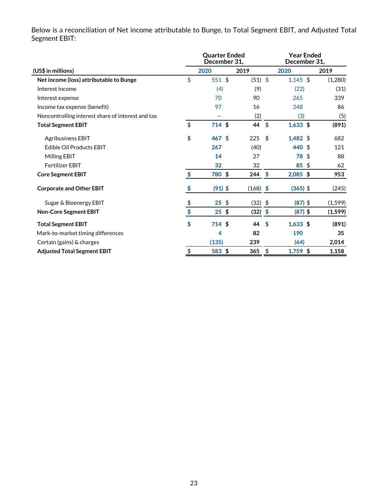|                                                   | <b>Ouarter Ended</b><br>December 31, |            |                           | Year Ended<br>December 31, |          |  |  |  |
|---------------------------------------------------|--------------------------------------|------------|---------------------------|----------------------------|----------|--|--|--|
| (US\$ in millions)                                | 2020                                 | 2019       |                           | 2020                       | 2019     |  |  |  |
| Net income (loss) attributable to Bunge           | \$<br>551 \$                         | $(51)$ \$  |                           | $1,145$ \$                 | (1,280)  |  |  |  |
| Interest income                                   | (4)                                  | (9)        |                           | (22)                       | (31)     |  |  |  |
| Interest expense                                  | 70                                   | 90         |                           | 265                        | 339      |  |  |  |
| Income tax expense (benefit)                      | 97                                   | 16         |                           | 248                        | 86       |  |  |  |
| Noncontrolling interest share of interest and tax |                                      | (2)        |                           | (3)                        | (5)      |  |  |  |
| <b>Total Segment EBIT</b>                         | \$<br>714 \$                         | 44         | $\boldsymbol{\mathsf{s}}$ | $1,633$ \$                 | (891)    |  |  |  |
| <b>Agribusiness EBIT</b>                          | \$<br>$467$ \$                       | 225        | \$                        | $1,482$ \$                 | 682      |  |  |  |
| Edible Oil Products EBIT                          | 267                                  | (40)       |                           | 440 \$                     | 121      |  |  |  |
| Milling EBIT                                      | 14                                   | 27         |                           | 78<br>\$                   | 88       |  |  |  |
| <b>Fertilizer EBIT</b>                            | 32                                   | 32         |                           | 85<br>\$                   | 62       |  |  |  |
| <b>Core Segment EBIT</b>                          | \$<br>780 \$                         | 244        | \$                        | $2,085$ \$                 | 953      |  |  |  |
| <b>Corporate and Other EBIT</b>                   | \$<br>$(91)$ \$                      | $(168)$ \$ |                           | $(365)$ \$                 | (245)    |  |  |  |
| Sugar & Bioenergy EBIT                            | \$<br>$25$ \$                        | $(32)$ \$  |                           | $(87)$ \$                  | (1, 599) |  |  |  |
| <b>Non-Core Segment EBIT</b>                      | \$<br>$25$ \$                        | $(32)$ \$  |                           | $(87)$ \$                  | (1, 599) |  |  |  |
| <b>Total Segment EBIT</b>                         | \$<br>$714$ \$                       | 44         | \$                        | $1,633$ \$                 | (891)    |  |  |  |
| Mark-to-market timing differences                 | 4                                    | 82         |                           | 190                        | 35       |  |  |  |
| Certain (gains) & charges                         | (135)                                | 239        |                           | (64)                       | 2,014    |  |  |  |
| <b>Adjusted Total Segment EBIT</b>                | \$<br>583 \$                         | 365        | \$                        | 1,759 \$                   | 1,158    |  |  |  |

Below is a reconciliation of Net income attributable to Bunge, to Total Segment EBIT, and Adjusted Total Segment EBIT: j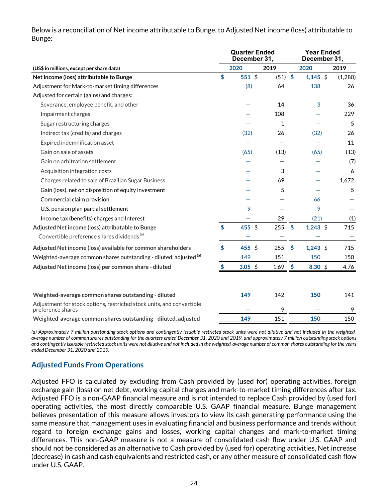Below is a reconciliation of Net income attributable to Bunge, to Adjusted Net income (loss) attributable to Bunge: j

|                                                                                            |    | <b>Quarter Ended</b><br>December 31, |      |                        | <b>Year Ended</b><br>December 31, |         |  |
|--------------------------------------------------------------------------------------------|----|--------------------------------------|------|------------------------|-----------------------------------|---------|--|
| (US\$ in millions, except per share data)                                                  |    | 2020                                 | 2019 |                        | 2020                              | 2019    |  |
| Net income (loss) attributable to Bunge                                                    | \$ | 551 \$                               | (51) | $\frac{1}{2}$          | $1,145$ \$                        | (1,280) |  |
| Adjustment for Mark-to-market timing differences                                           |    | (8)                                  | 64   |                        | 138                               | 26      |  |
| Adjusted for certain (gains) and charges:                                                  |    |                                      |      |                        |                                   |         |  |
| Severance, employee benefit, and other                                                     |    |                                      | 14   |                        | 3                                 | 36      |  |
| Impairment charges                                                                         |    |                                      | 108  |                        |                                   | 229     |  |
| Sugar restructuring charges                                                                |    |                                      | 1    |                        |                                   | 5       |  |
| Indirect tax (credits) and charges                                                         |    | (32)                                 | 26   |                        | (32)                              | 26      |  |
| Expired indemnification asset                                                              |    |                                      |      |                        |                                   | 11      |  |
| Gain on sale of assets                                                                     |    | (65)                                 | (13) |                        | (65)                              | (13)    |  |
| Gain on arbitration settlement                                                             |    |                                      |      |                        |                                   | (7)     |  |
| Acquisition integration costs                                                              |    |                                      | 3    |                        |                                   | 6       |  |
| Charges related to sale of Brazilian Sugar Business                                        |    |                                      | 69   |                        |                                   | 1,672   |  |
| Gain (loss), net on disposition of equity investment                                       |    |                                      | 5    |                        |                                   | 5       |  |
| Commercial claim provision                                                                 |    |                                      |      |                        | 66                                |         |  |
| U.S. pension plan partial settlement                                                       |    | 9                                    |      |                        | 9                                 |         |  |
| Income tax (benefits) charges and Interest                                                 |    |                                      | 29   |                        | (21)                              | (1)     |  |
| Adjusted Net income (loss) attributable to Bunge                                           | \$ | 455 \$                               | 255  | $\boldsymbol{\hat{S}}$ | $1,243$ \$                        | 715     |  |
| Convertible preference shares dividends <sup>(a)</sup>                                     |    |                                      |      |                        |                                   |         |  |
| Adjusted Net income (loss) available for common shareholders                               | \$ | 455 \$                               | 255  | \$                     | $1,243$ \$                        | 715     |  |
| Weighted-average common shares outstanding - diluted, adjusted (a)                         |    | 149                                  | 151  |                        | 150                               | 150     |  |
| Adjusted Net income (loss) per common share - diluted                                      | \$ | 3.05 \$                              | 1.69 | $\frac{1}{2}$          | $8.30~\frac{6}{3}$                | 4.76    |  |
|                                                                                            |    |                                      |      |                        |                                   |         |  |
| Weighted-average common shares outstanding - diluted                                       |    | 149                                  | 142  |                        | 150                               | 141     |  |
| Adjustment for stock options, restricted stock units, and convertible<br>preference shares |    |                                      | 9    |                        |                                   | 9       |  |
| Weighted-average common shares outstanding - diluted, adjusted                             |    | 149                                  | 151  |                        | 150                               | 150     |  |

*(a) Approximately 7 million outstanding stock options and contingently issuable restricted stock units were not dilutive and not included in the weightedaverage number of common shares outstanding for the quarters ended December 31, 2020 and 2019, and approximately 7 million outstanding stock options and contingently issuable restricted stock units were not dilutive and not included in the weighted-average number of common shares outstanding for the years ended December 31, 2020 and 2019.* 

### **Adjusted Funds From Operations**

Adjusted FFO is calculated by excluding from Cash provided by (used for) operating activities, foreign exchange gain (loss) on net debt, working capital changes and mark-to-market timing differences after tax. Adjusted FFO is a non-GAAP financial measure and is not intended to replace Cash provided by (used for) operating activities, the most directly comparable U.S. GAAP financial measure. Bunge management believes presentation of this measure allows investors to view its cash generating performance using the same measure that management uses in evaluating financial and business performance and trends without regard to foreign exchange gains and losses, working capital changes and mark-to-market timing differences. This non-GAAP measure is not a measure of consolidated cash flow under U.S. GAAP and should not be considered as an alternative to Cash provided by (used for) operating activities, Net increase (decrease) in cash and cash equivalents and restricted cash, or any other measure of consolidated cash flow under U.S. GAAP.